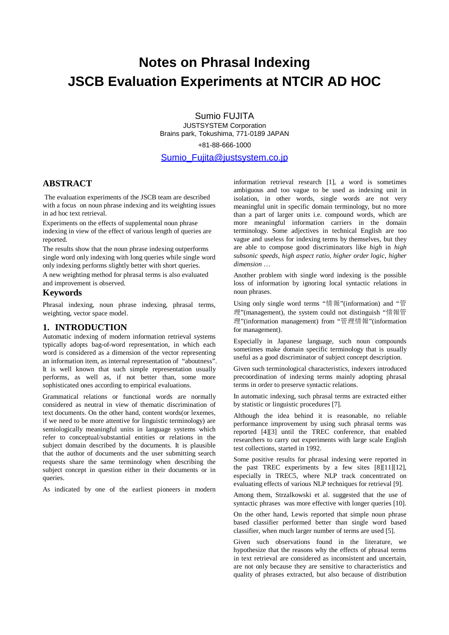# **Notes on Phrasal Indexing JSCB Evaluation Experiments at NTCIR AD HOC**

Sumio FUJITA JUSTSYSTEM Corporation Brains park, Tokushima, 771-0189 JAPAN

+81-88-666-1000

Sumio\_Fujita@justsystem.co.jp

# **ABSTRACT**

 The evaluation experiments of the JSCB team are described with a focus on noun phrase indexing and its weighting issues in ad hoc text retrieval.

Experiments on the effects of supplemental noun phrase indexing in view of the effect of various length of queries are reported.

The results show that the noun phrase indexing outperforms single word only indexing with long queries while single word only indexing performs slightly better with short queries.

A new weighting method for phrasal terms is also evaluated and improvement is observed.

# **Keywords**

Phrasal indexing, noun phrase indexing, phrasal terms, weighting, vector space model.

## **1. INTRODUCTION**

Automatic indexing of modern information retrieval systems typically adopts bag-of-word representation, in which each word is considered as a dimension of the vector representing an information item, as internal representation of "aboutness". It is well known that such simple representation usually performs, as well as, if not better than, some more sophisticated ones according to empirical evaluations.

Grammatical relations or functional words are normally considered as neutral in view of thematic discrimination of text documents. On the other hand, content words(or lexemes, if we need to be more attentive for linguistic terminology) are semiologically meaningful units in language systems which refer to conceptual/substantial entities or relations in the subject domain described by the documents. It is plausible that the author of documents and the user submitting search requests share the same terminology when describing the subject concept in question either in their documents or in queries.

As indicated by one of the earliest pioneers in modern

information retrieval research [1], a word is sometimes ambiguous and too vague to be used as indexing unit in isolation, in other words, single words are not very meaningful unit in specific domain terminology, but no more than a part of larger units i.e. compound words, which are more meaningful information carriers in the domain terminology. Some adjectives in technical English are too vague and useless for indexing terms by themselves, but they are able to compose good discriminators like *high* in *high subsonic speeds*, *high aspect ratio*, *higher order logic*, *higher dimension* …

Another problem with single word indexing is the possible loss of information by ignoring local syntactic relations in noun phrases.

Using only single word terms "情報"(information) and "管 理"(management), the system could not distinguish "情報管 理"(information management) from "管理情報"(information for management).

Especially in Japanese language, such noun compounds sometimes make domain specific terminology that is usually useful as a good discriminator of subject concept description.

Given such terminological characteristics, indexers introduced precoordination of indexing terms mainly adopting phrasal terms in order to preserve syntactic relations.

In automatic indexing, such phrasal terms are extracted either by statistic or linguistic procedures [7].

Although the idea behind it is reasonable, no reliable performance improvement by using such phrasal terms was reported [4][3] until the TREC conference, that enabled researchers to carry out experiments with large scale English test collections, started in 1992.

Some positive results for phrasal indexing were reported in the past TREC experiments by a few sites [8][11][12], especially in TREC5, where NLP track concentrated on evaluating effects of various NLP techniques for retrieval [9].

Among them, Strzalkowski et al. suggested that the use of syntactic phrases was more effective with longer queries [10].

On the other hand, Lewis reported that simple noun phrase based classifier performed better than single word based classifier, when much larger number of terms are used [5].

Given such observations found in the literature, we hypothesize that the reasons why the effects of phrasal terms in text retrieval are considered as inconsistent and uncertain, are not only because they are sensitive to characteristics and quality of phrases extracted, but also because of distribution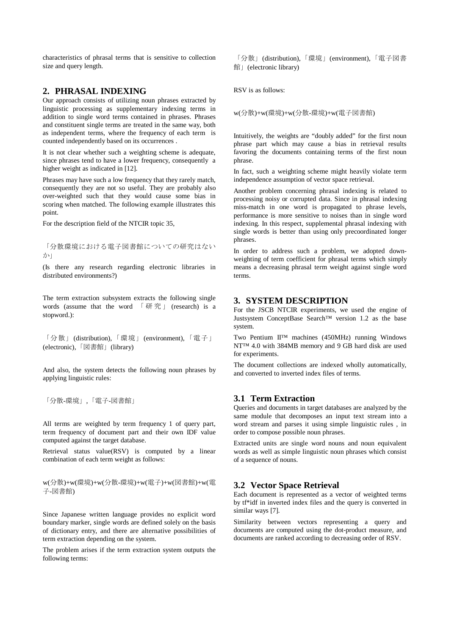characteristics of phrasal terms that is sensitive to collection size and query length.

## **2. PHRASAL INDEXING**

Our approach consists of utilizing noun phrases extracted by linguistic processing as supplementary indexing terms in addition to single word terms contained in phrases. Phrases and constituent single terms are treated in the same way, both as independent terms, where the frequency of each term is counted independently based on its occurrences .

It is not clear whether such a weighting scheme is adequate, since phrases tend to have a lower frequency, consequently a higher weight as indicated in [12].

Phrases may have such a low frequency that they rarely match, consequently they are not so useful. They are probably also over-weighted such that they would cause some bias in scoring when matched. The following example illustrates this point.

For the description field of the NTCIR topic 35,

「分散環境における電子図書館についての研究はない  $\overrightarrow{D}$ 

(Is there any research regarding electronic libraries in distributed environments?)

The term extraction subsystem extracts the following single words (assume that the word  $\left[\begin{array}{cc} \overline{m} & \overline{\overline{n}} \\ \overline{m} & \overline{\overline{n}} \end{array}\right]$  (research) is a stopword.):

「分散」(distribution), 「環境」(environment), 「電子」 (electronic),  $\sqrt{\mathbb{Z}}$ 書館 (library)

And also, the system detects the following noun phrases by applying linguistic rules:

「分散-環境」,「電子-図書館」

All terms are weighted by term frequency 1 of query part, term frequency of document part and their own IDF value computed against the target database.

Retrieval status value(RSV) is computed by a linear combination of each term weight as follows:

w(分散)+w(環境)+w(分散-環境)+w(電子)+w(図書館)+w(電 子-図書館)

Since Japanese written language provides no explicit word boundary marker, single words are defined solely on the basis of dictionary entry, and there are alternative possibilities of term extraction depending on the system.

The problem arises if the term extraction system outputs the following terms:

「分散」(distribution),「環境」(environment),「電子図書 館 | (electronic library)

RSV is as follows:

w(分散)+w(環境)+w(分散-環境)+w(電子図書館)

Intuitively, the weights are "doubly added" for the first noun phrase part which may cause a bias in retrieval results favoring the documents containing terms of the first noun phrase.

In fact, such a weighting scheme might heavily violate term independence assumption of vector space retrieval.

Another problem concerning phrasal indexing is related to processing noisy or corrupted data. Since in phrasal indexing miss-match in one word is propagated to phrase levels, performance is more sensitive to noises than in single word indexing. In this respect, supplemental phrasal indexing with single words is better than using only precoordinated longer phrases.

In order to address such a problem, we adopted downweighting of term coefficient for phrasal terms which simply means a decreasing phrasal term weight against single word terms.

## **3. SYSTEM DESCRIPTION**

For the JSCB NTCIR experiments, we used the engine of Justsystem ConceptBase Search™ version 1.2 as the base system.

Two Pentium II™ machines (450MHz) running Windows NT™ 4.0 with 384MB memory and 9 GB hard disk are used for experiments.

The document collections are indexed wholly automatically, and converted to inverted index files of terms.

## **3.1 Term Extraction**

Queries and documents in target databases are analyzed by the same module that decomposes an input text stream into a word stream and parses it using simple linguistic rules , in order to compose possible noun phrases.

Extracted units are single word nouns and noun equivalent words as well as simple linguistic noun phrases which consist of a sequence of nouns.

## **3.2 Vector Space Retrieval**

Each document is represented as a vector of weighted terms by tf\*idf in inverted index files and the query is converted in similar ways [7].

Similarity between vectors representing a query and documents are computed using the dot-product measure, and documents are ranked according to decreasing order of RSV.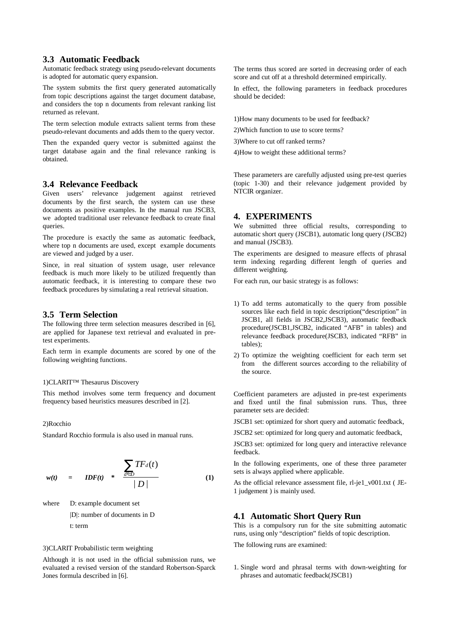## **3.3 Automatic Feedback**

Automatic feedback strategy using pseudo-relevant documents is adopted for automatic query expansion.

The system submits the first query generated automatically from topic descriptions against the target document database, and considers the top n documents from relevant ranking list returned as relevant.

The term selection module extracts salient terms from these pseudo-relevant documents and adds them to the query vector.

Then the expanded query vector is submitted against the target database again and the final relevance ranking is obtained.

## **3.4 Relevance Feedback**

Given users' relevance judgement against retrieved documents by the first search, the system can use these documents as positive examples. In the manual run JSCB3, we adopted traditional user relevance feedback to create final queries.

The procedure is exactly the same as automatic feedback, where top n documents are used, except example documents are viewed and judged by a user.

Since, in real situation of system usage, user relevance feedback is much more likely to be utilized frequently than automatic feedback, it is interesting to compare these two feedback procedures by simulating a real retrieval situation.

#### **3.5 Term Selection**

The following three term selection measures described in [6], are applied for Japanese text retrieval and evaluated in pretest experiments.

Each term in example documents are scored by one of the following weighting functions.

#### 1)CLARIT™ Thesaurus Discovery

This method involves some term frequency and document frequency based heuristics measures described in [2].

#### 2)Rocchio

Standard Rocchio formula is also used in manual runs.

$$
w(t) = IDF(t) * \frac{\sum_{d \in D} TF_d(t)}{|D|}
$$
 (1)

where D: example document set

|D|: number of documents in D

t: term

#### 3)CLARIT Probabilistic term weighting

Although it is not used in the official submission runs, we evaluated a revised version of the standard Robertson-Sparck Jones formula described in [6].

The terms thus scored are sorted in decreasing order of each score and cut off at a threshold determined empirically.

In effect, the following parameters in feedback procedures should be decided:

1)How many documents to be used for feedback?

2)Which function to use to score terms?

3)Where to cut off ranked terms?

4)How to weight these additional terms?

These parameters are carefully adjusted using pre-test queries (topic 1-30) and their relevance judgement provided by NTCIR organizer.

## **4. EXPERIMENTS**

We submitted three official results, corresponding to automatic short query (JSCB1), automatic long query (JSCB2) and manual (JSCB3).

The experiments are designed to measure effects of phrasal term indexing regarding different length of queries and different weighting.

For each run, our basic strategy is as follows:

- 1) To add terms automatically to the query from possible sources like each field in topic description("description" in JSCB1, all fields in JSCB2,JSCB3), automatic feedback procedure(JSCB1,JSCB2, indicated "AFB" in tables) and relevance feedback procedure(JSCB3, indicated "RFB" in tables);
- 2) To optimize the weighting coefficient for each term set from the different sources according to the reliability of the source.

Coefficient parameters are adjusted in pre-test experiments and fixed until the final submission runs. Thus, three parameter sets are decided:

JSCB1 set: optimized for short query and automatic feedback,

JSCB2 set: optimized for long query and automatic feedback,

JSCB3 set: optimized for long query and interactive relevance feedback.

In the following experiments, one of these three parameter sets is always applied where applicable.

As the official relevance assessment file, rl-je1\_v001.txt ( JE-1 judgement ) is mainly used.

### **4.1 Automatic Short Query Run**

This is a compulsory run for the site submitting automatic runs, using only "description" fields of topic description.

The following runs are examined:

1. Single word and phrasal terms with down-weighting for phrases and automatic feedback(JSCB1)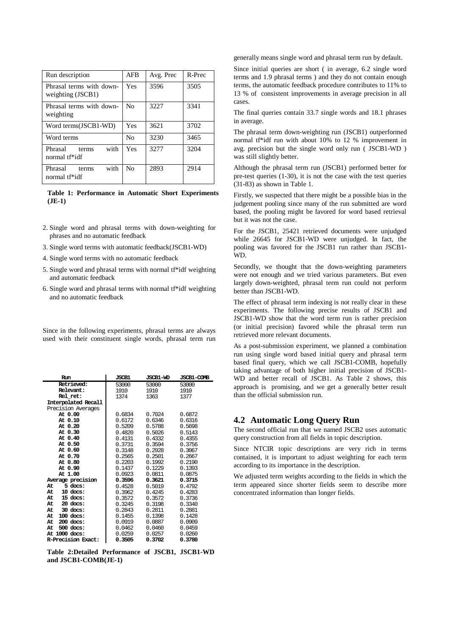| Run description                               | <b>AFB</b>     | Avg. Prec | R-Prec |
|-----------------------------------------------|----------------|-----------|--------|
| Phrasal terms with down-<br>weighting (JSCB1) | Yes            | 3596      | 3505   |
| Phrasal terms with down-<br>weighting         | N <sub>0</sub> | 3227      | 3341   |
| Word terms(JSCB1-WD)                          | Yes            | 3621      | 3702   |
| Word terms                                    | No             | 3230      | 3465   |
| with<br>Phrasal<br>terms<br>normal tf*idf     | Yes            | 3277      | 3204   |
| with<br>Phrasal<br>terms<br>normal tf*idf     | No             | 2893      | 2914   |

**Table 1: Performance in Automatic Short Experiments (JE-1)**

- 2. Single word and phrasal terms with down-weighting for phrases and no automatic feedback
- 3. Single word terms with automatic feedback(JSCB1-WD)
- 4. Single word terms with no automatic feedback
- 5. Single word and phrasal terms with normal tf\*idf weighting and automatic feedback
- 6. Single word and phrasal terms with normal tf\*idf weighting and no automatic feedback

Since in the following experiments, phrasal terms are always used with their constituent single words, phrasal term run

| Run                       | <b>JSCB1</b> | <b>JSCB1-WD</b> | <b>JSCB1-COMB</b> |
|---------------------------|--------------|-----------------|-------------------|
| <b>Retrieved:</b>         | 53000        | 53000           | 53000             |
| Relevant:                 | 1910         | 1910            | 1910              |
| Rel ret:                  | 1374         | 1363            | 1377              |
| Interpolated Recall       |              |                 |                   |
| Precision Averages        |              |                 |                   |
| At 0.00                   | 0.6834       | 0.7024          | 0.6872            |
| At 0.10                   | 0.6172       | 0.6346          | 0.6316            |
| At 0.20                   | 0.5209       | 0.5788          | 0.5698            |
| At 0.30                   | 0.4820       | 0.5026          | 0.5143            |
| At 0.40                   | 0.4131       | 0.4332          | 0.4355            |
| At 0.50                   | 0.3731       | 0.3594          | 0.3756            |
| At 0.60                   | 0.3148       | 0.2928          | 0.3067            |
| At 0.70                   | 0.2565       | 0.2501          | 0.2667            |
| At 0.80                   | 0.2203       | 0.1992          | 0.2190            |
| At 0.90                   | 0.1437       | 0.1229          | 0.1393            |
| At 1.00                   | 0.0923       | 0.0811          | 0.0875            |
| Average precision         | 0.3596       | 0.3621          | 0.3715            |
| $5$ docs:<br>At           | 0.4528       | 0.5019          | 0.4792            |
| $10$ docs:<br>At          | 0.3962       | 0.4245          | 0.4283            |
| 15 docs:<br>At            | 0.3572       | 0.3572          | 0.3736            |
| $20$ docs:<br>At          | 0.3245       | 0.3198          | 0.3340            |
| $30$ docs:<br>At          | 0.2843       | 0.2811          | 0.2881            |
| $100$ docs:<br>At         | 0.1455       | 0.1398          | 0.1428            |
| $200$ docs:<br>At         | 0.0919       | 0.0887          | 0.0909            |
| $500$ docs:<br>At         | 0.0462       | 0.0460          | 0.0459            |
| At 1000 docs:             | 0.0259       | 0.0257          | 0.0260            |
| <b>R-Precision Exact:</b> | 0.3505       | 0.3702          | 0.3780            |

**Table 2:Detailed Performance of JSCB1, JSCB1-WD and JSCB1-COMB(JE-1)**

generally means single word and phrasal term run by default.

Since initial queries are short ( in average, 6.2 single word terms and 1.9 phrasal terms ) and they do not contain enough terms, the automatic feedback procedure contributes to 11% to 13 % of consistent improvements in average precision in all cases.

The final queries contain 33.7 single words and 18.1 phrases in average.

The phrasal term down-weighting run (JSCB1) outperformed normal tf\*idf run with about 10% to 12 % improvement in avg. precision but the single word only run ( JSCB1-WD ) was still slightly better.

Although the phrasal term run (JSCB1) performed better for pre-test queries (1-30), it is not the case with the test queries (31-83) as shown in Table 1.

Firstly, we suspected that there might be a possible bias in the judgement pooling since many of the run submitted are word based, the pooling might be favored for word based retrieval but it was not the case.

For the JSCB1, 25421 retrieved documents were unjudged while 26645 for JSCB1-WD were unjudged. In fact, the pooling was favored for the JSCB1 run rather than JSCB1- WD.

Secondly, we thought that the down-weighting parameters were not enough and we tried various parameters. But even largely down-weighted, phrasal term run could not perform better than JSCB1-WD.

The effect of phrasal term indexing is not really clear in these experiments. The following precise results of JSCB1 and JSCB1-WD show that the word term run is rather precision (or initial precision) favored while the phrasal term run retrieved more relevant documents.

As a post-submission experiment, we planned a combination run using single word based initial query and phrasal term based final query, which we call JSCB1-COMB, hopefully taking advantage of both higher initial precision of JSCB1- WD and better recall of JSCB1. As Table 2 shows, this approach is promising, and we get a generally better result than the official submission run.

## **4.2 Automatic Long Query Run**

The second official run that we named JSCB2 uses automatic query construction from all fields in topic description.

Since NTCIR topic descriptions are very rich in terms contained, it is important to adjust weighting for each term according to its importance in the description.

We adjusted term weights according to the fields in which the term appeared since shorter fields seem to describe more concentrated information than longer fields.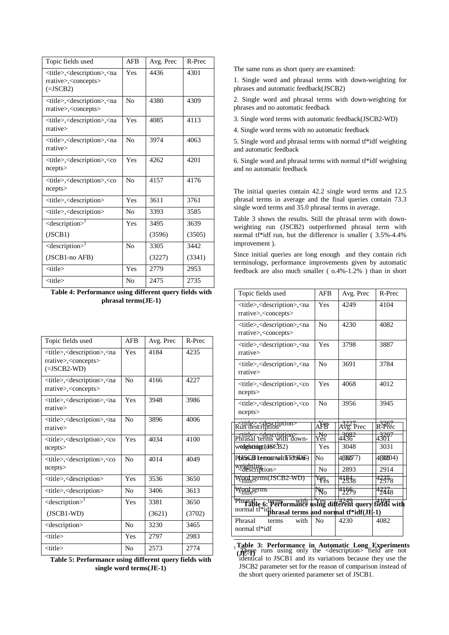| Topic fields used                                                                                                      | <b>AFB</b>     | Avg. Prec | R-Prec |
|------------------------------------------------------------------------------------------------------------------------|----------------|-----------|--------|
| <title>,<description>,<na<br>rrative&gt;,<concepts><br/><math>(=JSCB2)</math></concepts></na<br></description></title> | Yes            | 4436      | 4301   |
| <title>,<description>,<na<br>rrative&gt;,<concepts></concepts></na<br></description></title>                           | No             | 4380      | 4309   |
| <title>,<description>,<na<br>rrative</na<br></description></title>                                                     | Yes            | 4085      | 4113   |
| <title>,<description>,<na<br>rrative&gt;</na<br></description></title>                                                 | N <sub>0</sub> | 3974      | 4063   |
| <title>,<description>,<co<br>ncepts</co<br></description></title>                                                      | Yes            | 42.62     | 4201   |
| <title>,<description>,<co<br>ncepts</co<br></description></title>                                                      | No             | 4157      | 4176   |
| <title>,<description></description></title>                                                                            | Yes            | 3611      | 3761   |
| <title>,<description></description></title>                                                                            | N <sub>0</sub> | 3393      | 3585   |
| $\leq$ description $>1$                                                                                                | Yes            | 3495      | 3639   |
| (JSCB1)                                                                                                                |                | (3596)    | (3505) |
| $\leq$ description $>1$                                                                                                | N <sub>0</sub> | 3305      | 3442   |
| (JSCB1-no AFB)                                                                                                         |                | (3227)    | (3341) |
| <title></title>                                                                                                        | Yes            | 2779      | 2953   |
| <title></title>                                                                                                        | No             | 2475      | 2735   |

## **Table 4: Performance using different query fields with phrasal terms(JE-1)**

| Topic fields used                                                                                                              | <b>AFB</b>     | Avg. Prec | R-Prec |
|--------------------------------------------------------------------------------------------------------------------------------|----------------|-----------|--------|
| <title>,<description>,<na<br>rrative&gt;,<concepts><br/><math>(=\neg</math> ISCB2-WD)</concepts></na<br></description></title> | Yes            | 4184      | 4235   |
| <title>,<description>,<na<br>rrative&gt;,<concepts></concepts></na<br></description></title>                                   | N <sub>0</sub> | 4166      | 4227   |
| <title>,<description>,<na<br>rrative</na<br></description></title>                                                             | Yes            | 3948      | 3986   |
| <title>,<description>,<na<br>rrative</na<br></description></title>                                                             | N <sub>0</sub> | 3896      | 4006   |
| <title>,<description>,<co<br>ncepts</co<br></description></title>                                                              | Yes            | 4034      | 4100   |
| <title>,<description>,<co<br>ncepts&gt;</co<br></description></title>                                                          | N <sub>0</sub> | 4014      | 4049   |
| <title>,<description></description></title>                                                                                    | Yes            | 3536      | 3650   |
| <title>,<description></description></title>                                                                                    | N <sub>0</sub> | 3406      | 3613   |
| <description></description>                                                                                                    | Yes            | 3381      | 3650   |
| $(JSCB1-WD)$                                                                                                                   |                | (3621)    | (3702) |
| <description></description>                                                                                                    | No             | 3230      | 3465   |
| $<$ title $>$                                                                                                                  | Yes            | 2797      | 2983   |
| <title></title>                                                                                                                | No             | 2573      | 2774   |

**Table 5: Performance using different query fields with single word terms(JE-1)**

The same runs as short query are examined:

1. Single word and phrasal terms with down-weighting for phrases and automatic feedback(JSCB2)

2. Single word and phrasal terms with down-weighting for phrases and no automatic feedback

3. Single word terms with automatic feedback(JSCB2-WD)

4. Single word terms with no automatic feedback

5. Single word and phrasal terms with normal tf\*idf weighting and automatic feedback

6. Single word and phrasal terms with normal tf\*idf weighting and no automatic feedback

The initial queries contain 42.2 single word terms and 12.5 phrasal terms in average and the final queries contain 73.3 single word terms and 35.0 phrasal terms in average.

Table 3 shows the results. Still the phrasal term with downweighting run (JSCB2) outperformed phrasal term with normal tf\*idf run, but the difference is smaller ( 3.5%-4.4% improvement ).

Since initial queries are long enough and they contain rich terminology, performance improvements given by automatic feedback are also much smaller ( o.4%-1.2% ) than in short

| Topic fields used                                                                                                                          | <b>AFB</b>     | Avg. Prec         | R-Prec             |  |
|--------------------------------------------------------------------------------------------------------------------------------------------|----------------|-------------------|--------------------|--|
| <title>,<description>,<na<br>rrative&gt;,<concepts></concepts></na<br></description></title>                                               | Yes            | 4249              | 4104               |  |
| <title>,<description>,<na<br>rrative&gt;,<concepts></concepts></na<br></description></title>                                               | N <sub>0</sub> | 4230              | 4082               |  |
| <title>,<description>,<na<br>rrative&gt;</na<br></description></title>                                                                     | Yes            | 3798              | 3887               |  |
| <title>,<description>,<na<br>rrative</na<br></description></title>                                                                         | N <sub>0</sub> | 3691              | 3784               |  |
| <title>,<description>,<co<br>ncepts</co<br></description></title>                                                                          | Yes            | 4068              | 4012               |  |
| <title>,<description>,<co<br>ncepts</co<br></description></title>                                                                          | N <sub>0</sub> | 3956              | 3945               |  |
| kitle>, <description><br/>Run description</description>                                                                                    | AFB            | Avg. Prec         | $R^2$ $R^7$        |  |
| stitles, descriptions<br>Phrasal terms with down-                                                                                          | ygg<br>Yes     | 43982             | 43697              |  |
| wedghtingt(dfsCB2)                                                                                                                         | Yes            | 3048              | 3031               |  |
| PhiSSB tenasmalth EftionF)                                                                                                                 | No             | 4638077)          | 4630204)           |  |
| weighting<br>escription>                                                                                                                   | N <sub>0</sub> | 2893              | 2914               |  |
| Word terms(JSCB2-WD)                                                                                                                       | ress           | 4184 <sub>8</sub> | 4 <del>235</del> 8 |  |
| Word terms<br>Kittle>                                                                                                                      | $\sqrt[4]{6}$  | 41669             | 42448              |  |
| Phrasal e 6: Performance using different query fields with<br>normal ti <sup>s</sup> idfures al terms and normal ti <sup>s</sup> idf(JE-1) |                |                   |                    |  |
| Phrasal<br>with<br>terms<br>normal tf*idf                                                                                                  | N <sub>0</sub> | 4230              | 4082               |  |
|                                                                                                                                            |                |                   |                    |  |

 $\frac{1}{1}$  These runs using only the  $\leq$  description $>$  field are not identical to JSCB1 and its variations because they use the JSCB2 parameter set for the reason of comparison instead of the short query oriented parameter set of JSCB1. **Table 3: Performance in Automatic Long Experiments (JE-1)**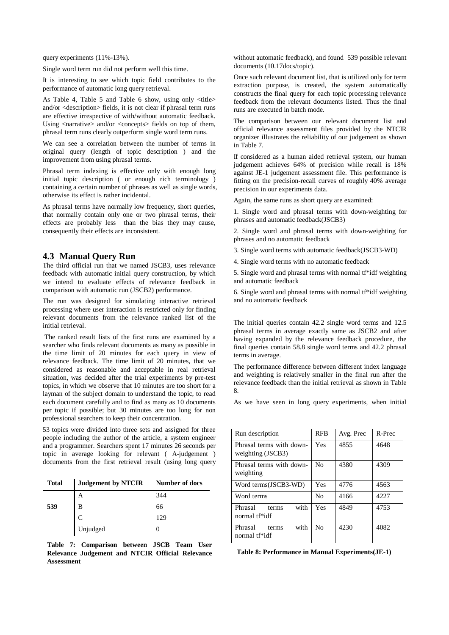query experiments (11%-13%).

Single word term run did not perform well this time.

It is interesting to see which topic field contributes to the performance of automatic long query retrieval.

As Table 4, Table 5 and Table 6 show, using only  $\langle$ title $\rangle$ and/or <description> fields, it is not clear if phrasal term runs are effective irrespective of with/without automatic feedback. Using  $\langle$ narrative $\rangle$  and/or  $\langle$ concepts $\rangle$  fields on top of them, phrasal term runs clearly outperform single word term runs.

We can see a correlation between the number of terms in original query (length of topic description ) and the improvement from using phrasal terms.

Phrasal term indexing is effective only with enough long initial topic description ( or enough rich terminology ) containing a certain number of phrases as well as single words, otherwise its effect is rather incidental.

As phrasal terms have normally low frequency, short queries, that normally contain only one or two phrasal terms, their effects are probably less than the bias they may cause, consequently their effects are inconsistent.

## **4.3 Manual Query Run**

The third official run that we named JSCB3, uses relevance feedback with automatic initial query construction, by which we intend to evaluate effects of relevance feedback in comparison with automatic run (JSCB2) performance.

The run was designed for simulating interactive retrieval processing where user interaction is restricted only for finding relevant documents from the relevance ranked list of the initial retrieval.

 The ranked result lists of the first runs are examined by a searcher who finds relevant documents as many as possible in the time limit of 20 minutes for each query in view of relevance feedback. The time limit of 20 minutes, that we considered as reasonable and acceptable in real retrieval situation, was decided after the trial experiments by pre-test topics, in which we observe that 10 minutes are too short for a layman of the subject domain to understand the topic, to read each document carefully and to find as many as 10 documents per topic if possible; but 30 minutes are too long for non professional searchers to keep their concentration.

53 topics were divided into three sets and assigned for three people including the author of the article, a system engineer and a programmer. Searchers spent 17 minutes 26 seconds per topic in average looking for relevant ( A-judgement ) documents from the first retrieval result (using long query

| <b>Total</b> | <b>Judgement by NTCIR</b> | Number of docs |
|--------------|---------------------------|----------------|
|              | Α                         | 344            |
| 539          | B                         | 66             |
|              |                           | 129            |
|              | Unjudged                  |                |

**Table 7: Comparison between JSCB Team User Relevance Judgement and NTCIR Official Relevance Assessment**

without automatic feedback), and found 539 possible relevant documents (10.17docs/topic).

Once such relevant document list, that is utilized only for term extraction purpose, is created, the system automatically constructs the final query for each topic processing relevance feedback from the relevant documents listed. Thus the final runs are executed in batch mode.

The comparison between our relevant document list and official relevance assessment files provided by the NTCIR organizer illustrates the reliability of our judgement as shown in Table 7.

If considered as a human aided retrieval system, our human judgement achieves 64% of precision while recall is 18% against JE-1 judgement assessment file. This performance is fitting on the precision-recall curves of roughly 40% average precision in our experiments data.

Again, the same runs as short query are examined:

1. Single word and phrasal terms with down-weighting for phrases and automatic feedback(JSCB3)

2. Single word and phrasal terms with down-weighting for phrases and no automatic feedback

3. Single word terms with automatic feedback(JSCB3-WD)

4. Single word terms with no automatic feedback

5. Single word and phrasal terms with normal tf\*idf weighting and automatic feedback

6. Single word and phrasal terms with normal tf\*idf weighting and no automatic feedback

The initial queries contain 42.2 single word terms and 12.5 phrasal terms in average exactly same as JSCB2 and after having expanded by the relevance feedback procedure, the final queries contain 58.8 single word terms and 42.2 phrasal terms in average.

The performance difference between different index language and weighting is relatively smaller in the final run after the relevance feedback than the initial retrieval as shown in Table 8.

As we have seen in long query experiments, when initial

| Run description                               | <b>RFB</b>     | Avg. Prec | R-Prec |
|-----------------------------------------------|----------------|-----------|--------|
| Phrasal terms with down-<br>weighting (JSCB3) | Yes            | 4855      | 4648   |
| Phrasal terms with down-<br>weighting         | No             | 4380      | 4309   |
| Word terms(JSCB3-WD)                          | Yes            | 4776      | 4563   |
| Word terms                                    | N <sub>0</sub> | 4166      | 4227   |
| with<br>Phrasal<br>terms<br>normal tf*idf     | Yes            | 4849      | 4753   |
| with<br>Phrasal<br>terms<br>normal tf*idf     | No             | 4230      | 4082   |

**Table 8: Performance in Manual Experiments(JE-1)**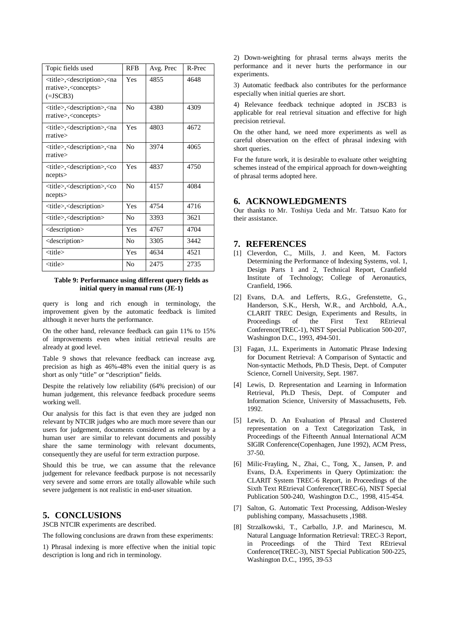| Topic fields used                                                                                                             | <b>RFB</b>     | Avg. Prec | R-Prec |
|-------------------------------------------------------------------------------------------------------------------------------|----------------|-----------|--------|
| <title>,<description>,<na<br>rrative&gt;,<concepts><br/><math>(=\text{JSCB3})</math></concepts></na<br></description></title> | Yes            | 4855      | 4648   |
| <title>,<description>,<na<br>rrative&gt;,<concepts></concepts></na<br></description></title>                                  | N <sub>0</sub> | 4380      | 4309   |
| <title>,<description>,<na<br>rrative</na<br></description></title>                                                            | Yes            | 4803      | 4672   |
| <title>,<description>,<na<br>rrative</na<br></description></title>                                                            | No             | 3974      | 4065   |
| <title>,<description>,<co<br>ncepts</co<br></description></title>                                                             | Yes            | 4837      | 4750   |
| <title>,<description>,<co<br>ncepts</co<br></description></title>                                                             | No             | 4157      | 4084   |
| <title>,<description></description></title>                                                                                   | Yes            | 4754      | 4716   |
| <title>,<description></description></title>                                                                                   | N <sub>0</sub> | 3393      | 3621   |
| <description></description>                                                                                                   | Yes            | 4767      | 4704   |
| <description></description>                                                                                                   | N <sub>0</sub> | 3305      | 3442   |
| <title></title>                                                                                                               | Yes            | 4634      | 4521   |
| <title></title>                                                                                                               | N <sub>0</sub> | 2475      | 2735   |

#### **Table 9: Performance using different query fields as initial query in manual runs (JE-1)**

query is long and rich enough in terminology, the improvement given by the automatic feedback is limited although it never hurts the performance.

On the other hand, relevance feedback can gain 11% to 15% of improvements even when initial retrieval results are already at good level.

Table 9 shows that relevance feedback can increase avg. precision as high as 46%-48% even the initial query is as short as only "title" or "description" fields.

Despite the relatively low reliability (64% precision) of our human judgement, this relevance feedback procedure seems working well.

Our analysis for this fact is that even they are judged non relevant by NTCIR judges who are much more severe than our users for judgement, documents considered as relevant by a human user are similar to relevant documents and possibly share the same terminology with relevant documents, consequently they are useful for term extraction purpose.

Should this be true, we can assume that the relevance judgement for relevance feedback purpose is not necessarily very severe and some errors are totally allowable while such severe judgement is not realistic in end-user situation.

# **5. CONCLUSIONS**

JSCB NTCIR experiments are described.

The following conclusions are drawn from these experiments:

1) Phrasal indexing is more effective when the initial topic description is long and rich in terminology.

2) Down-weighting for phrasal terms always merits the performance and it never hurts the performance in our experiments.

3) Automatic feedback also contributes for the performance especially when initial queries are short.

4) Relevance feedback technique adopted in JSCB3 is applicable for real retrieval situation and effective for high precision retrieval.

On the other hand, we need more experiments as well as careful observation on the effect of phrasal indexing with short queries.

For the future work, it is desirable to evaluate other weighting schemes instead of the empirical approach for down-weighting of phrasal terms adopted here.

### **6. ACKNOWLEDGMENTS**

Our thanks to Mr. Toshiya Ueda and Mr. Tatsuo Kato for their assistance.

## **7. REFERENCES**

- [1] Cleverdon, C., Mills, J. and Keen, M. Factors Determining the Performance of Indexing Systems, vol. 1, Design Parts 1 and 2, Technical Report, Cranfield Institute of Technology; College of Aeronautics, Cranfield, 1966.
- [2] Evans, D.A. and Lefferts, R.G., Grefenstette, G., Handerson, S.K., Hersh, W.R., and Archbold, A.A., CLARIT TREC Design, Experiments and Results, in Proceedings of the First Text REtrieval Conference(TREC-1), NIST Special Publication 500-207, Washington D.C., 1993, 494-501.
- [3] Fagan, J.L. Experiments in Automatic Phrase Indexing for Document Retrieval: A Comparison of Syntactic and Non-syntactic Methods, Ph.D Thesis, Dept. of Computer Science, Cornell University, Sept. 1987.
- [4] Lewis, D. Representation and Learning in Information Retrieval, Ph.D Thesis, Dept. of Computer and Information Science, University of Massachusetts, Feb. 1992.
- [5] Lewis, D. An Evaluation of Phrasal and Clustered representation on a Text Categorization Task, in Proceedings of the Fifteenth Annual International ACM SIGIR Conference(Copenhagen, June 1992), ACM Press, 37-50.
- [6] Milic-Frayling, N., Zhai, C., Tong, X., Jansen, P. and Evans, D.A. Experiments in Query Optimization: the CLARIT System TREC-6 Report, in Proceedings of the Sixth Text REtrieval Conference(TREC-6), NIST Special Publication 500-240, Washington D.C., 1998, 415-454.
- [7] Salton, G. Automatic Text Processing, Addison-Wesley publishing company, Massachusetts ,1988.
- [8] Strzalkowski, T., Carballo, J.P. and Marinescu, M. Natural Language Information Retrieval: TREC-3 Report, in Proceedings of the Third Text REtrieval Conference(TREC-3), NIST Special Publication 500-225, Washington D.C., 1995, 39-53